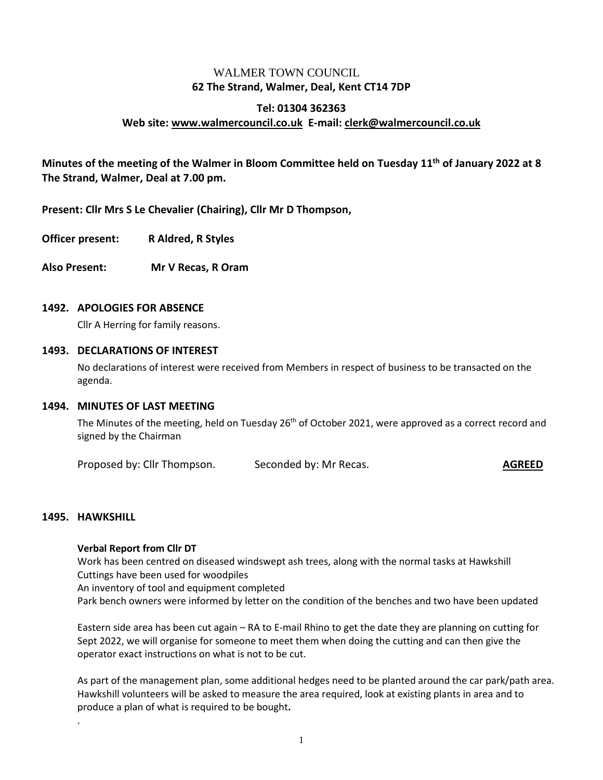## WALMER TOWN COUNCIL. **62 The Strand, Walmer, Deal, Kent CT14 7DP**

# **Tel: 01304 362363 Web site: [www.walmercouncil.co.uk](http://www.walmercouncil.co.uk/) E-mail: [clerk@walmercouncil.co.uk](mailto:clerk@walmercouncil.co.uk)**

**Minutes of the meeting of the Walmer in Bloom Committee held on Tuesday 11th of January 2022 at 8 The Strand, Walmer, Deal at 7.00 pm.**

**Present: Cllr Mrs S Le Chevalier (Chairing), Cllr Mr D Thompson,** 

**Officer present: R Aldred, R Styles**

**Also Present: Mr V Recas, R Oram**

#### **1492. APOLOGIES FOR ABSENCE**

Cllr A Herring for family reasons.

#### **1493. DECLARATIONS OF INTEREST**

No declarations of interest were received from Members in respect of business to be transacted on the agenda.

#### **1494. MINUTES OF LAST MEETING**

The Minutes of the meeting, held on Tuesday 26<sup>th</sup> of October 2021, were approved as a correct record and signed by the Chairman

Proposed by: Cllr Thompson. Seconded by: Mr Recas. **AGREED**

#### **1495. HAWKSHILL**

.

#### **Verbal Report from Cllr DT**

Work has been centred on diseased windswept ash trees, along with the normal tasks at Hawkshill Cuttings have been used for woodpiles An inventory of tool and equipment completed Park bench owners were informed by letter on the condition of the benches and two have been updated

Eastern side area has been cut again – RA to E-mail Rhino to get the date they are planning on cutting for Sept 2022, we will organise for someone to meet them when doing the cutting and can then give the operator exact instructions on what is not to be cut.

As part of the management plan, some additional hedges need to be planted around the car park/path area. Hawkshill volunteers will be asked to measure the area required, look at existing plants in area and to produce a plan of what is required to be bought**.**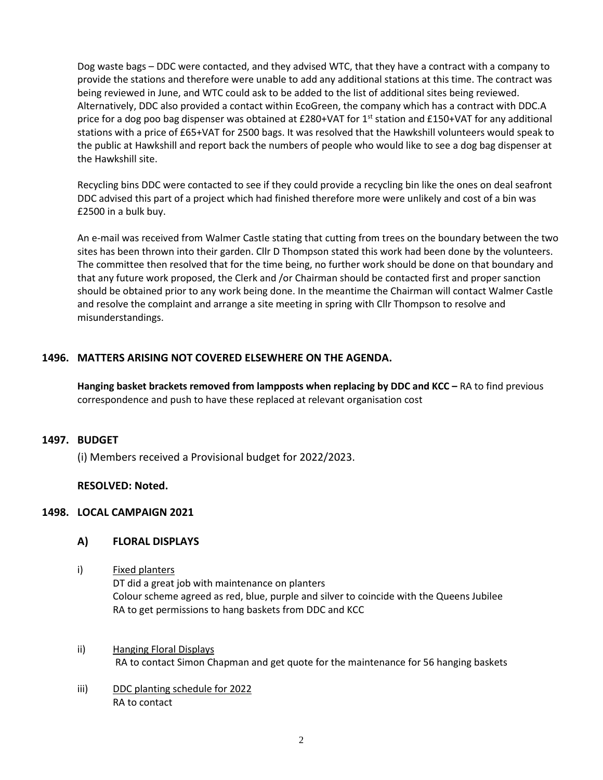Dog waste bags – DDC were contacted, and they advised WTC, that they have a contract with a company to provide the stations and therefore were unable to add any additional stations at this time. The contract was being reviewed in June, and WTC could ask to be added to the list of additional sites being reviewed. Alternatively, DDC also provided a contact within EcoGreen, the company which has a contract with DDC.A price for a dog poo bag dispenser was obtained at £280+VAT for 1<sup>st</sup> station and £150+VAT for any additional stations with a price of £65+VAT for 2500 bags. It was resolved that the Hawkshill volunteers would speak to the public at Hawkshill and report back the numbers of people who would like to see a dog bag dispenser at the Hawkshill site.

Recycling bins DDC were contacted to see if they could provide a recycling bin like the ones on deal seafront DDC advised this part of a project which had finished therefore more were unlikely and cost of a bin was £2500 in a bulk buy.

An e-mail was received from Walmer Castle stating that cutting from trees on the boundary between the two sites has been thrown into their garden. Cllr D Thompson stated this work had been done by the volunteers. The committee then resolved that for the time being, no further work should be done on that boundary and that any future work proposed, the Clerk and /or Chairman should be contacted first and proper sanction should be obtained prior to any work being done. In the meantime the Chairman will contact Walmer Castle and resolve the complaint and arrange a site meeting in spring with Cllr Thompson to resolve and misunderstandings.

### **1496. MATTERS ARISING NOT COVERED ELSEWHERE ON THE AGENDA.**

**Hanging basket brackets removed from lampposts when replacing by DDC and KCC –** RA to find previous correspondence and push to have these replaced at relevant organisation cost

### **1497. BUDGET**

(i) Members received a Provisional budget for 2022/2023.

#### **RESOLVED: Noted.**

### **1498. LOCAL CAMPAIGN 2021**

#### **A) FLORAL DISPLAYS**

i) Fixed planters

DT did a great job with maintenance on planters Colour scheme agreed as red, blue, purple and silver to coincide with the Queens Jubilee RA to get permissions to hang baskets from DDC and KCC

- ii) Hanging Floral Displays RA to contact Simon Chapman and get quote for the maintenance for 56 hanging baskets
- iii) DDC planting schedule for 2022 RA to contact